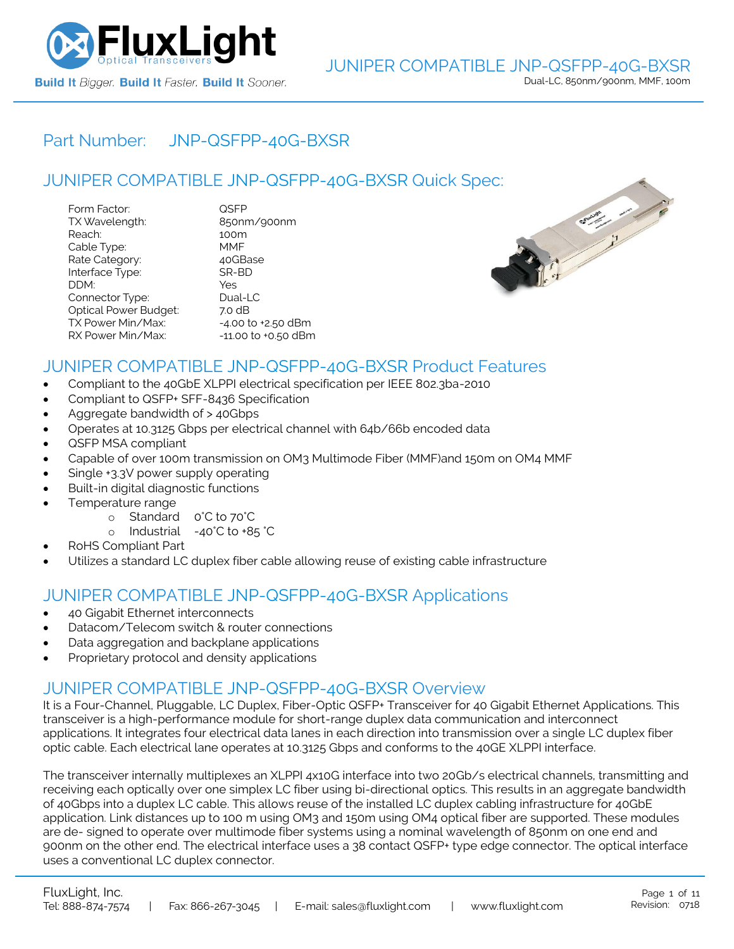

### Part Number: [JNP-QSFPP-40G-BXSR](https://www.fluxlight.com/JNP-QSFPP-40G-BXSR/)

### JUNIPER COMPATIBLE [JNP-QSFPP-40G-BXSR](https://www.fluxlight.com/JNP-QSFPP-40G-BXSR/) Quick Spec:

| Form Factor:                 | QSFP                   |
|------------------------------|------------------------|
| TX Wavelength:               | 850nm/900nm            |
| Reach:                       | 100m                   |
| Cable Type:                  | MMF                    |
| Rate Category:               | 40GBase                |
| Interface Type:              | SR-BD                  |
| DDM:                         | Yes                    |
| Connector Type:              | Dual-LC                |
| <b>Optical Power Budget:</b> | 7.0 dB                 |
| TX Power Min/Max:            | $-4.00$ to $+2.50$ dBm |
| RX Power Min/Max:            | -11.00 to +0.50 dBm    |



### JUNIPER COMPATIBLE [JNP-QSFPP-40G-BXSR](https://www.fluxlight.com/JNP-QSFPP-40G-BXSR/) Product Features

- Compliant to the 40GbE XLPPI electrical specification per IEEE 802.3ba-2010
- Compliant to QSFP+ SFF-8436 Specification
- Aggregate bandwidth of > 40Gbps
- Operates at 10.3125 Gbps per electrical channel with 64b/66b encoded data
- QSFP MSA compliant
- Capable of over 100m transmission on OM3 Multimode Fiber (MMF)and 150m on OM4 MMF
- Single +3.3V power supply operating
- Built-in digital diagnostic functions
- Temperature range
	- o Standard 0°C to 70°C
	- o Industrial -40°C to +85 °C
- RoHS Compliant Part
- Utilizes a standard LC duplex fiber cable allowing reuse of existing cable infrastructure

### JUNIPER COMPATIBLE [JNP-QSFPP-40G-BXSR](https://www.fluxlight.com/JNP-QSFPP-40G-BXSR/) Applications

- 40 Gigabit Ethernet interconnects
- Datacom/Telecom switch & router connections
- Data aggregation and backplane applications
- Proprietary protocol and density applications

### JUNIPER COMPATIBLE [JNP-QSFPP-40G-BXSR](https://www.fluxlight.com/JNP-QSFPP-40G-BXSR/) Overview

It is a Four-Channel, Pluggable, LC Duplex, Fiber-Optic QSFP+ Transceiver for 40 Gigabit Ethernet Applications. This transceiver is a high-performance module for short-range duplex data communication and interconnect applications. It integrates four electrical data lanes in each direction into transmission over a single LC duplex fiber optic cable. Each electrical lane operates at 10.3125 Gbps and conforms to the 40GE XLPPI interface.

The transceiver internally multiplexes an XLPPI 4x10G interface into two 20Gb/s electrical channels, transmitting and receiving each optically over one simplex LC fiber using bi-directional optics. This results in an aggregate bandwidth of 40Gbps into a duplex LC cable. This allows reuse of the installed LC duplex cabling infrastructure for 40GbE application. Link distances up to 100 m using OM3 and 150m using OM4 optical fiber are supported. These modules are de- signed to operate over multimode fiber systems using a nominal wavelength of 850nm on one end and 900nm on the other end. The electrical interface uses a 38 contact QSFP+ type edge connector. The optical interface uses a conventional LC duplex connector.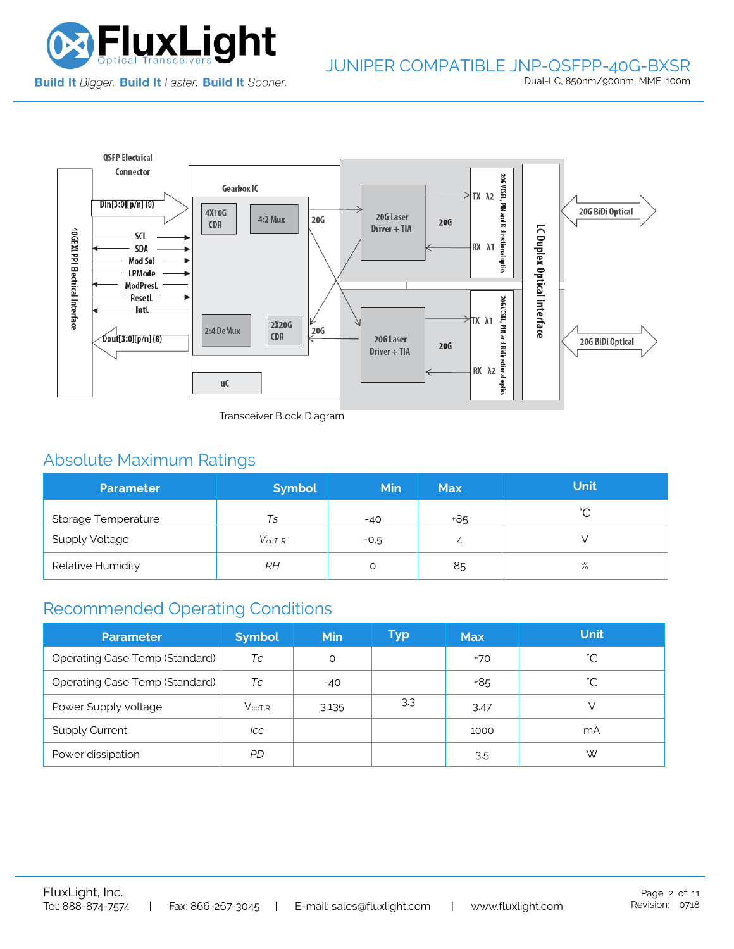

# JUNIPER COMPATIBLE JNP-QSFPP-40G-BXSR

Dual-LC, 850nm/900nm, MMF, 100m



Transceiver Block Diagram

# Absolute Maximum Ratings

| <b>Parameter</b>      | <b>Symbol</b>  | <b>Min</b> | <b>Max</b> | <b>Unit</b> |
|-----------------------|----------------|------------|------------|-------------|
| Storage Temperature   | Ts             | $-40$      | +85        | $\hat{ }$   |
| <b>Supply Voltage</b> | $V_{c c T. R}$ | $-0.5$     | 4          |             |
| Relative Humidity     | RΗ             |            | 85         | $\%$        |

## Recommended Operating Conditions

| <b>Parameter</b>                      | <b>Symbol</b>    | <b>Min</b> | Typ | <b>Max</b> | <b>Unit</b> |
|---------------------------------------|------------------|------------|-----|------------|-------------|
| Operating Case Temp (Standard)        | Тc               | O          |     | $+70$      | °С          |
| <b>Operating Case Temp (Standard)</b> | Tc               | $-40$      |     | +85        | °С          |
| Power Supply voltage                  | $V_{\rm ccT.R.}$ | 3.135      | 3.3 | 3.47       |             |
| <b>Supply Current</b>                 | lcc              |            |     | 1000       | mA          |
| Power dissipation                     | PD.              |            |     | 3.5        | W           |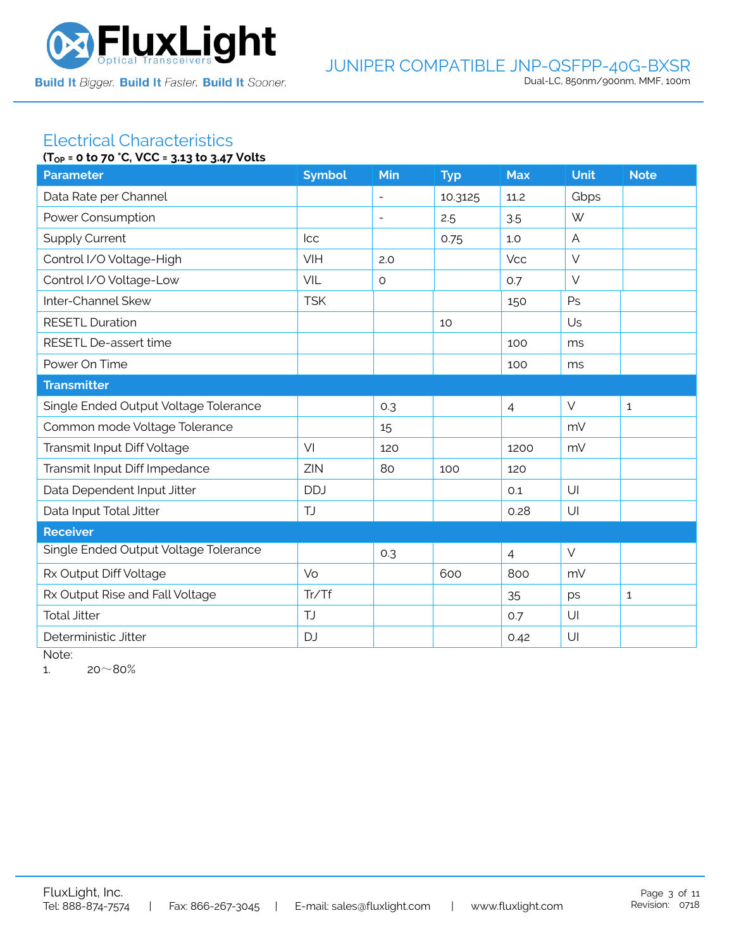

# Electrical Characteristics

| (T <sub>OP</sub> = 0 to 70 °C, VCC = 3.13 to 3.47 Volts |               |                          |            |                |             |              |
|---------------------------------------------------------|---------------|--------------------------|------------|----------------|-------------|--------------|
| <b>Parameter</b>                                        | <b>Symbol</b> | Min                      | <b>Typ</b> | <b>Max</b>     | <b>Unit</b> | <b>Note</b>  |
| Data Rate per Channel                                   |               | $\overline{a}$           | 10.3125    | 11.2           | Gbps        |              |
| Power Consumption                                       |               | $\overline{\phantom{a}}$ | 2.5        | 3.5            | W           |              |
| <b>Supply Current</b>                                   | Icc           |                          | 0.75       | 1.0            | A           |              |
| Control I/O Voltage-High                                | VIH           | 2.0                      |            | Vcc            | $\vee$      |              |
| Control I/O Voltage-Low                                 | VIL           | $\circ$                  |            | 0.7            | $\vee$      |              |
| Inter-Channel Skew                                      | <b>TSK</b>    |                          |            | 150            | Ps          |              |
| <b>RESETL Duration</b>                                  |               |                          | 10         |                | Us          |              |
| RESETL De-assert time                                   |               |                          |            | 100            | ms          |              |
| Power On Time                                           |               |                          |            | 100            | ms          |              |
| <b>Transmitter</b>                                      |               |                          |            |                |             |              |
| Single Ended Output Voltage Tolerance                   |               | 0.3                      |            | $\overline{4}$ | $\vee$      | $\mathbf{1}$ |
| Common mode Voltage Tolerance                           |               | 15                       |            |                | mV          |              |
| Transmit Input Diff Voltage                             | VI            | 120                      |            | 1200           | mV          |              |
| Transmit Input Diff Impedance                           | ZIN           | 80                       | 100        | 120            |             |              |
| Data Dependent Input Jitter                             | <b>DDJ</b>    |                          |            | 0.1            | U           |              |
| Data Input Total Jitter                                 | <b>TJ</b>     |                          |            | 0.28           | U           |              |
| <b>Receiver</b>                                         |               |                          |            |                |             |              |
| Single Ended Output Voltage Tolerance                   |               | 0.3                      |            | $\overline{4}$ | $\vee$      |              |
| Rx Output Diff Voltage                                  | Vo            |                          | 600        | 800            | mV          |              |
| Rx Output Rise and Fall Voltage                         | Tr/Tf         |                          |            | 35             | ps          | $\mathbf{1}$ |
| <b>Total Jitter</b>                                     | <b>TJ</b>     |                          |            | 0.7            | U           |              |
| Deterministic Jitter                                    | <b>DJ</b>     |                          |            | 0.42           | U           |              |

Note:

1.  $20~80%$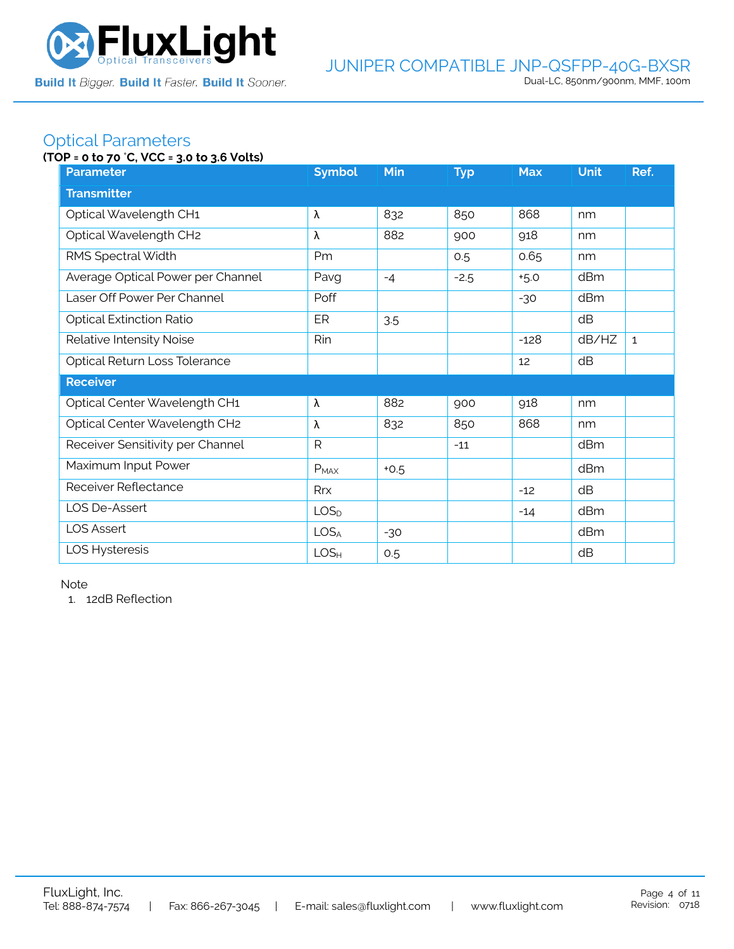

### Optical Parameters

#### **(TOP = 0 to 70** °**C, VCC = 3.0 to 3.6 Volts)**

| <b>Parameter</b>                  | <b>Symbol</b>    | Min    | <b>Typ</b> | <b>Max</b> | <b>Unit</b> | Ref.         |  |  |
|-----------------------------------|------------------|--------|------------|------------|-------------|--------------|--|--|
| <b>Transmitter</b>                |                  |        |            |            |             |              |  |  |
| Optical Wavelength CH1            | λ                | 832    | 850        | 868        | nm          |              |  |  |
| Optical Wavelength CH2            | λ                | 882    | 900        | 918        | nm          |              |  |  |
| RMS Spectral Width                | Pm               |        | 0.5        | 0.65       | nm          |              |  |  |
| Average Optical Power per Channel | Pavg             | $-4$   | $-2.5$     | $+5.0$     | dBm         |              |  |  |
| Laser Off Power Per Channel       | Poff             |        |            | $-30$      | dBm         |              |  |  |
| <b>Optical Extinction Ratio</b>   | ER               | 3.5    |            |            | dB          |              |  |  |
| Relative Intensity Noise          | Rin              |        |            | $-128$     | dB/HZ       | $\mathbf{1}$ |  |  |
| Optical Return Loss Tolerance     |                  |        |            | 12         | dB          |              |  |  |
| <b>Receiver</b>                   |                  |        |            |            |             |              |  |  |
| Optical Center Wavelength CH1     | λ                | 882    | 900        | 918        | nm          |              |  |  |
| Optical Center Wavelength CH2     | λ                | 832    | 850        | 868        | nm          |              |  |  |
| Receiver Sensitivity per Channel  | $\mathsf{R}$     |        | $-11$      |            | dBm         |              |  |  |
| Maximum Input Power               | $P_{MAX}$        | $+0.5$ |            |            | dBm         |              |  |  |
| Receiver Reflectance              | <b>Rrx</b>       |        |            | $-12$      | dB          |              |  |  |
| LOS De-Assert                     | LOS <sub>D</sub> |        |            | $-14$      | dBm         |              |  |  |
| <b>LOS Assert</b>                 | LOS <sub>A</sub> | $-30$  |            |            | dBm         |              |  |  |
| LOS Hysteresis                    | LOS <sub>H</sub> | 0.5    |            |            | dB          |              |  |  |

Note

1. 12dB Reflection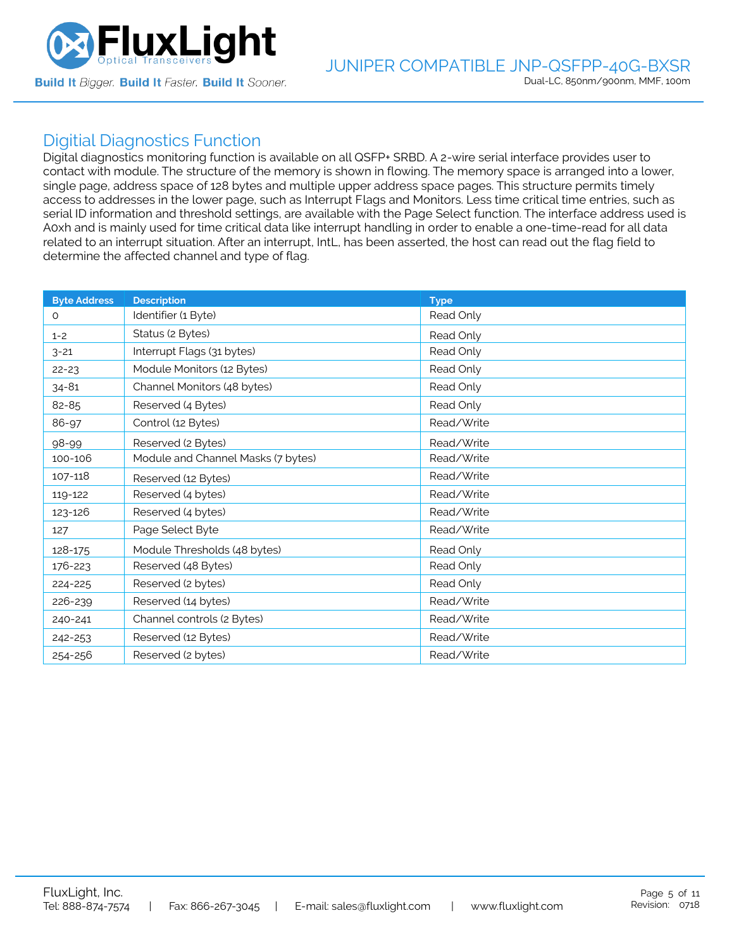

### Digitial Diagnostics Function

Digital diagnostics monitoring function is available on all QSFP+ SRBD. A 2-wire serial interface provides user to contact with module. The structure of the memory is shown in flowing. The memory space is arranged into a lower, single page, address space of 128 bytes and multiple upper address space pages. This structure permits timely access to addresses in the lower page, such as Interrupt Flags and Monitors. Less time critical time entries, such as serial ID information and threshold settings, are available with the Page Select function. The interface address used is A0xh and is mainly used for time critical data like interrupt handling in order to enable a one-time-read for all data related to an interrupt situation. After an interrupt, IntL, has been asserted, the host can read out the flag field to determine the affected channel and type of flag.

| <b>Byte Address</b> | <b>Description</b>                 | <b>Type</b> |
|---------------------|------------------------------------|-------------|
| 0                   | Identifier (1 Byte)                | Read Only   |
| $1 - 2$             | Status (2 Bytes)                   | Read Only   |
| $3 - 21$            | Interrupt Flags (31 bytes)         | Read Only   |
| $22 - 23$           | Module Monitors (12 Bytes)         | Read Only   |
| $34 - 81$           | Channel Monitors (48 bytes)        | Read Only   |
| 82-85               | Reserved (4 Bytes)                 | Read Only   |
| 86-97               | Control (12 Bytes)                 | Read/Write  |
| 98-99               | Reserved (2 Bytes)                 | Read/Write  |
| 100-106             | Module and Channel Masks (7 bytes) | Read/Write  |
| 107-118             | Reserved (12 Bytes)                | Read/Write  |
| 119-122             | Reserved (4 bytes)                 | Read/Write  |
| 123-126             | Reserved (4 bytes)                 | Read/Write  |
| 127                 | Page Select Byte                   | Read/Write  |
| 128-175             | Module Thresholds (48 bytes)       | Read Only   |
| 176-223             | Reserved (48 Bytes)                | Read Only   |
| 224-225             | Reserved (2 bytes)                 | Read Only   |
| 226-239             | Reserved (14 bytes)                | Read/Write  |
| 240-241             | Channel controls (2 Bytes)         | Read/Write  |
| 242-253             | Reserved (12 Bytes)                | Read/Write  |
| 254-256             | Reserved (2 bytes)                 | Read/Write  |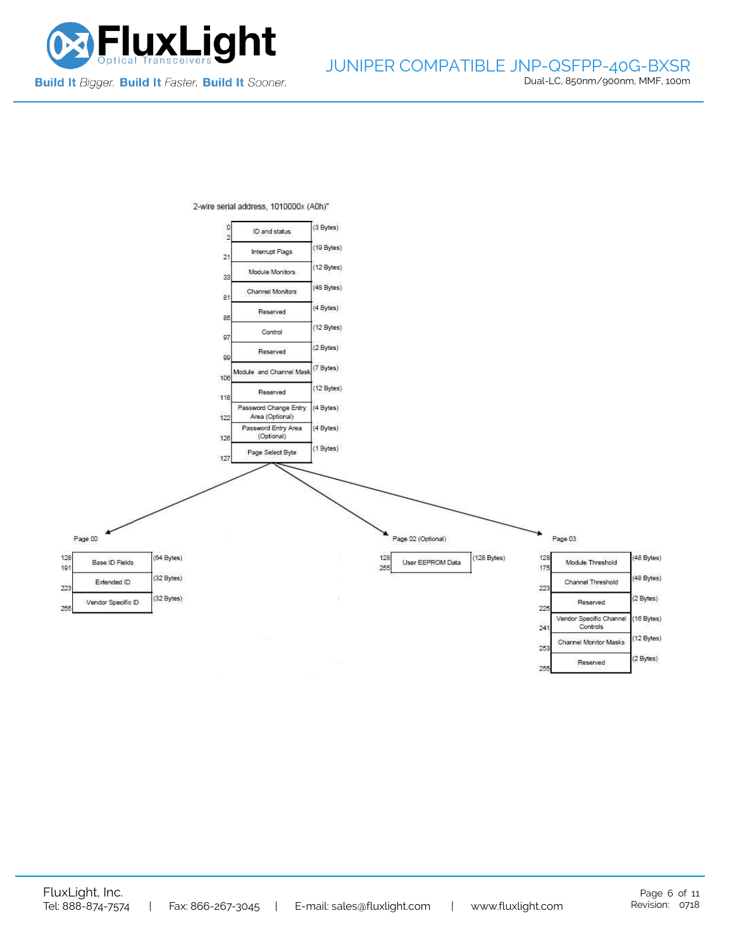



2-wire serial address, 1010000x (A0h)"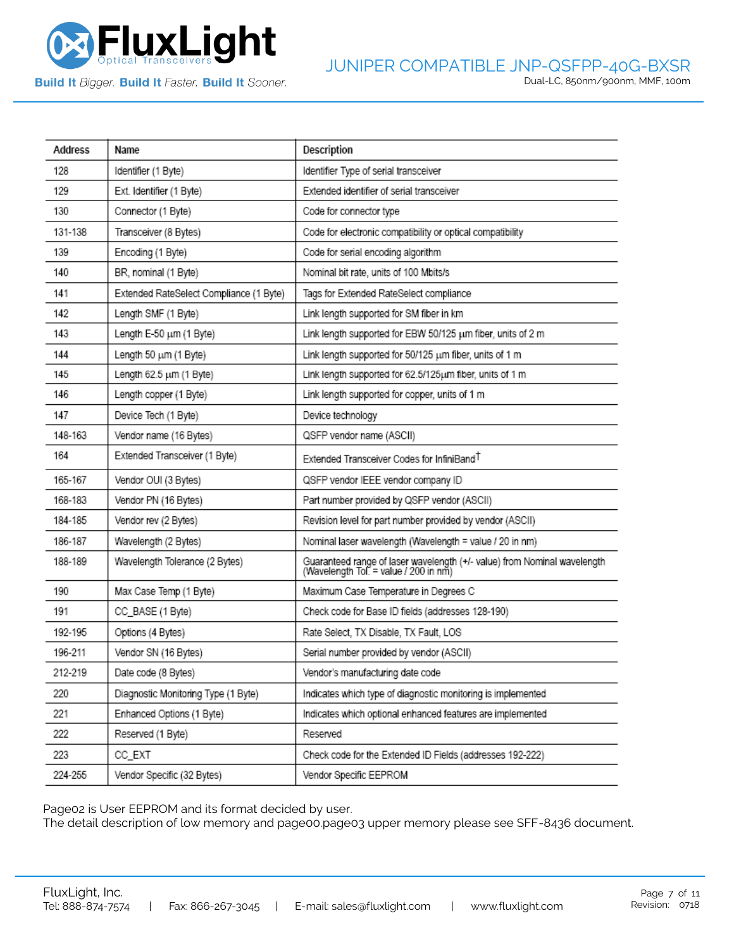

**Build It Bigger. Build It Faster. Build It Sooner.** 

| Address | Name                                    | Description                                                                                                       |
|---------|-----------------------------------------|-------------------------------------------------------------------------------------------------------------------|
| 128     | Identifier (1 Byte)                     | Identifier Type of serial transceiver                                                                             |
| 129     | Ext. Identifier (1 Byte)                | Extended identifier of serial transceiver                                                                         |
| 130     | Connector (1 Byte)                      | Code for connector type                                                                                           |
| 131-138 | Transceiver (8 Bytes)                   | Code for electronic compatibility or optical compatibility                                                        |
| 139     | Encoding (1 Byte)                       | Code for serial encoding algorithm                                                                                |
| 140     | BR, nominal (1 Byte)                    | Nominal bit rate, units of 100 Mbits/s                                                                            |
| 141     | Extended RateSelect Compliance (1 Byte) | Tags for Extended RateSelect compliance                                                                           |
| 142     | Length SMF (1 Byte)                     | Link length supported for SM fiber in km                                                                          |
| 143     | Length E-50 µm (1 Byte)                 | Link length supported for EBW 50/125 um fiber, units of 2 m                                                       |
| 144     | Length 50 um (1 Byte)                   | Link length supported for 50/125 um fiber, units of 1 m                                                           |
| 145     | Length 62.5 um (1 Byte)                 | Link length supported for 62.5/125um fiber, units of 1 m                                                          |
| 146     | Length copper (1 Byte)                  | Link length supported for copper, units of 1 m                                                                    |
| 147     | Device Tech (1 Byte)                    | Device technology                                                                                                 |
| 148-163 | Vendor name (16 Bytes)                  | QSFP vendor name (ASCII)                                                                                          |
| 164     | Extended Transceiver (1 Byte)           | Extended Transceiver Codes for InfiniBand <sup>T</sup>                                                            |
| 165-167 | Vendor OUI (3 Bytes)                    | QSFP vendor IEEE vendor company ID                                                                                |
| 168-183 | Vendor PN (16 Bytes)                    | Part number provided by QSFP vendor (ASCII)                                                                       |
| 184-185 | Vendor rev (2 Bytes)                    | Revision level for part number provided by vendor (ASCII)                                                         |
| 186-187 | Wavelength (2 Bytes)                    | Nominal laser wavelength (Wavelength = value / 20 in nm)                                                          |
| 188-189 | Wavelength Tolerance (2 Bytes)          | Guaranteed range of laser wavelength (+/- value) from Nominal wavelength<br>(Wavelength Tol. = value / 200 in nm) |
| 190     | Max Case Temp (1 Byte)                  | Maximum Case Temperature in Degrees C                                                                             |
| 191     | CC_BASE (1 Byte)                        | Check code for Base ID fields (addresses 128-190)                                                                 |
| 192-195 | Options (4 Bytes)                       | Rate Select, TX Disable, TX Fault, LOS                                                                            |
| 196-211 | Vendor SN (16 Bytes)                    | Serial number provided by vendor (ASCII)                                                                          |
| 212-219 | Date code (8 Bytes)                     | Vendor's manufacturing date code                                                                                  |
| 220     | Diagnostic Monitoring Type (1 Byte)     | Indicates which type of diagnostic monitoring is implemented                                                      |
| 221     | Enhanced Options (1 Byte)               | Indicates which optional enhanced features are implemented                                                        |
| 222     | Reserved (1 Byte)                       | Reserved                                                                                                          |
| 223     | CC_EXT                                  | Check code for the Extended ID Fields (addresses 192-222)                                                         |
| 224-255 | Vendor Specific (32 Bytes)              | Vendor Specific EEPROM                                                                                            |

Page02 is User EEPROM and its format decided by user.

The detail description of low memory and page00.page03 upper memory please see SFF-8436 document.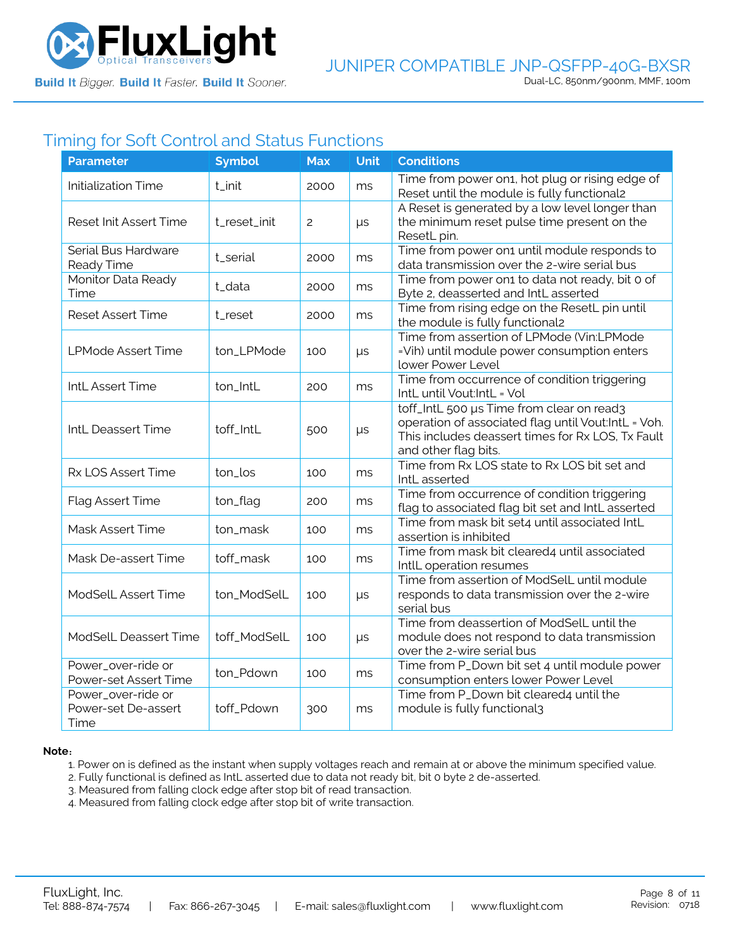

## Timing for Soft Control and Status Functions

| <b>Parameter</b>                                  | <b>Symbol</b> | <b>Max</b>     | <b>Unit</b> | <b>Conditions</b>                                                                                                                                                             |
|---------------------------------------------------|---------------|----------------|-------------|-------------------------------------------------------------------------------------------------------------------------------------------------------------------------------|
| <b>Initialization Time</b>                        | t_init        | 2000           | ms          | Time from power on1, hot plug or rising edge of<br>Reset until the module is fully functional2                                                                                |
| Reset Init Assert Time                            | t_reset_init  | $\overline{c}$ | $\mu s$     | A Reset is generated by a low level longer than<br>the minimum reset pulse time present on the<br>ResetL pin.                                                                 |
| Serial Bus Hardware<br>Ready Time                 | t_serial      | 2000           | ms          | Time from power on1 until module responds to<br>data transmission over the 2-wire serial bus                                                                                  |
| Monitor Data Ready<br>Time                        | t_data        | 2000           | ms          | Time from power on1 to data not ready, bit 0 of<br>Byte 2, deasserted and IntL asserted                                                                                       |
| <b>Reset Assert Time</b>                          | t_reset       | 2000           | ms          | Time from rising edge on the ResetL pin until<br>the module is fully functional2                                                                                              |
| <b>LPMode Assert Time</b>                         | ton_LPMode    | 100            | $\mu s$     | Time from assertion of LPMode (Vin:LPMode<br>=Vih) until module power consumption enters<br>lower Power Level                                                                 |
| IntL Assert Time                                  | ton_IntL      | 200            | ms          | Time from occurrence of condition triggering<br>IntL until Vout:IntL = Vol                                                                                                    |
| IntL Deassert Time                                | toff_IntL     | 500            | $\mu s$     | toff_IntL 500 µs Time from clear on read3<br>operation of associated flag until Vout:IntL = Voh.<br>This includes deassert times for Rx LOS, Tx Fault<br>and other flag bits. |
| Rx LOS Assert Time                                | ton_los       | 100            | ms          | Time from Rx LOS state to Rx LOS bit set and<br>IntL asserted                                                                                                                 |
| Flag Assert Time                                  | ton_flag      | 200            | ms          | Time from occurrence of condition triggering<br>flag to associated flag bit set and IntL asserted                                                                             |
| Mask Assert Time                                  | ton_mask      | 100            | ms          | Time from mask bit set4 until associated IntL<br>assertion is inhibited                                                                                                       |
| Mask De-assert Time                               | toff_mask     | 100            | ms          | Time from mask bit cleared4 until associated<br>IntlL operation resumes                                                                                                       |
| ModSelL Assert Time                               | ton_ModSelL   | 100            | μs          | Time from assertion of ModSelL until module<br>responds to data transmission over the 2-wire<br>serial bus                                                                    |
| <b>ModSelL Deassert Time</b>                      | toff_ModSelL  | 100            | $\mu s$     | Time from deassertion of ModSelL until the<br>module does not respond to data transmission<br>over the 2-wire serial bus                                                      |
| Power_over-ride or<br>Power-set Assert Time       | ton_Pdown     | 100            | ms          | Time from P_Down bit set 4 until module power<br>consumption enters lower Power Level                                                                                         |
| Power_over-ride or<br>Power-set De-assert<br>Time | toff_Pdown    | 300            | ms          | Time from P_Down bit cleared4 until the<br>module is fully functional3                                                                                                        |

#### **Note**:

1. Power on is defined as the instant when supply voltages reach and remain at or above the minimum specified value.

- 2. Fully functional is defined as IntL asserted due to data not ready bit, bit 0 byte 2 de-asserted.
- 3. Measured from falling clock edge after stop bit of read transaction.
- 4. Measured from falling clock edge after stop bit of write transaction.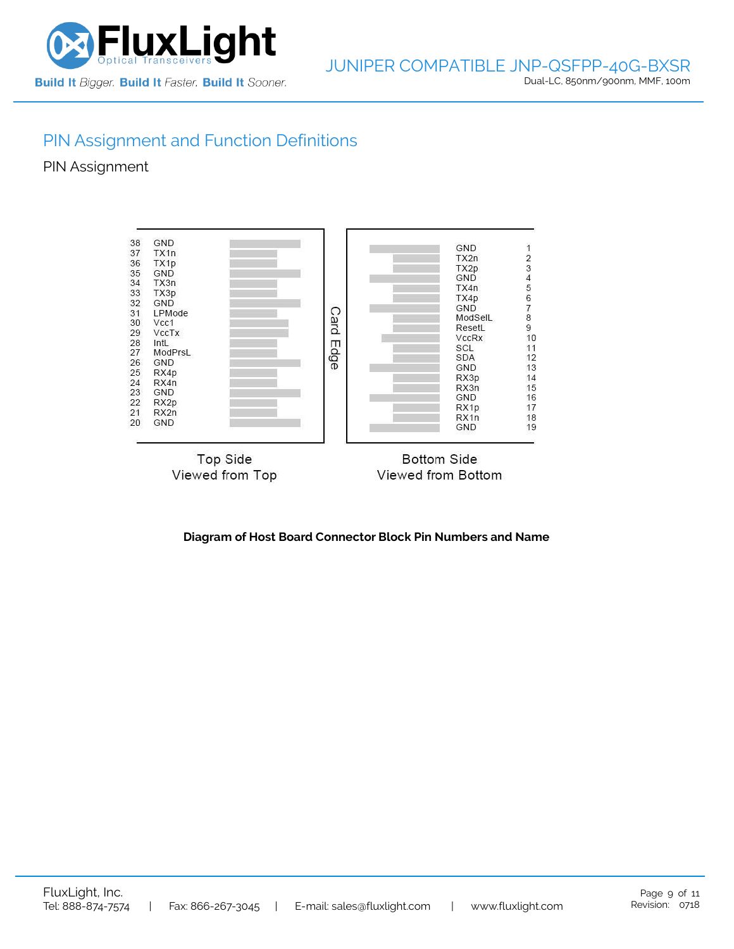

# PIN Assignment and Function Definitions

PIN Assignment



**Diagram of Host Board Connector Block Pin Numbers and Name**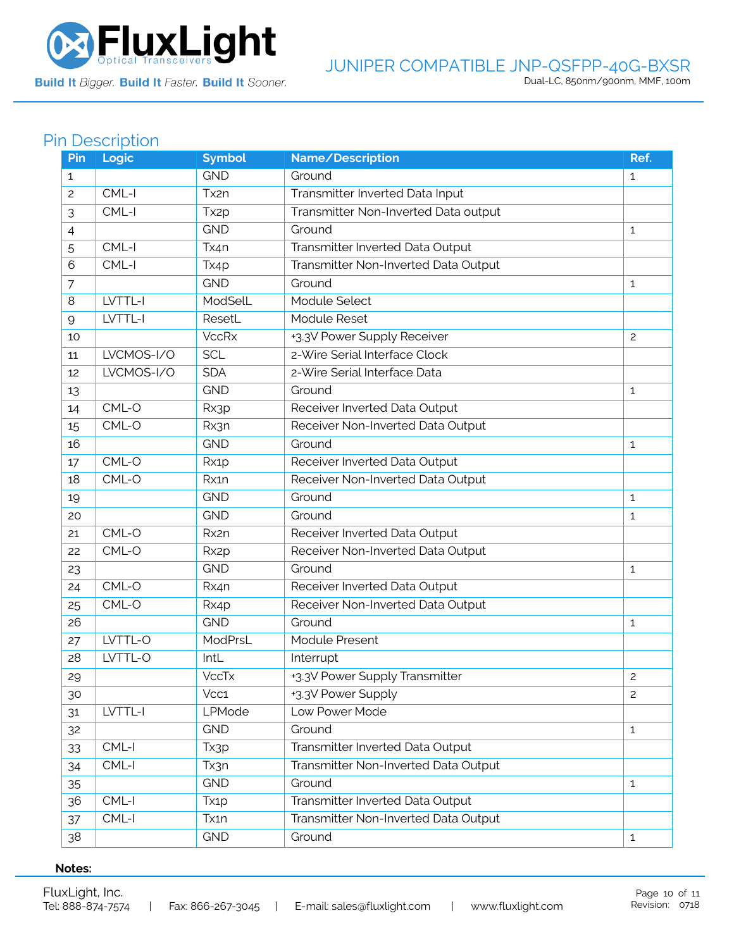

Build It Bigger. Build It Faster. Build It Sooner.

#### JUNIPER COMPATIBLE JNP-QSFPP-40G-BXSR Dual-LC, 850nm/900nm, MMF, 100m

## Pin Description

| Pin          | Logic      | <b>Symbol</b>     | Name/Description                     | Ref.         |
|--------------|------------|-------------------|--------------------------------------|--------------|
| $\mathbf{1}$ |            | <b>GND</b>        | Ground                               | $\mathbf{1}$ |
| 2            | $CML-I$    | Tx2n              | Transmitter Inverted Data Input      |              |
| 3            | CML-I      | Tx <sub>2p</sub>  | Transmitter Non-Inverted Data output |              |
| 4            |            | <b>GND</b>        | Ground                               | $\mathbf{1}$ |
| 5            | $CML-I$    | Tx4n              | Transmitter Inverted Data Output     |              |
| 6            | CML-I      | Tx4p              | Transmitter Non-Inverted Data Output |              |
| 7            |            | <b>GND</b>        | Ground                               | 1            |
| 8            | LVTTL-I    | ModSelL           | Module Select                        |              |
| 9            | LVTTL-I    | ResetL            | Module Reset                         |              |
| 10           |            | <b>VccRx</b>      | +3.3V Power Supply Receiver          | 2            |
| 11           | LVCMOS-I/O | <b>SCL</b>        | 2-Wire Serial Interface Clock        |              |
| 12           | LVCMOS-I/O | <b>SDA</b>        | 2-Wire Serial Interface Data         |              |
| 13           |            | <b>GND</b>        | Ground                               | 1            |
| 14           | $CML-O$    | Rx3p              | Receiver Inverted Data Output        |              |
| 15           | CML-O      | Rx3n              | Receiver Non-Inverted Data Output    |              |
| 16           |            | <b>GND</b>        | Ground                               | $\mathbf{1}$ |
| 17           | CML-O      | Rx1p              | Receiver Inverted Data Output        |              |
| 18           | CML-O      | Rx1n              | Receiver Non-Inverted Data Output    |              |
| 19           |            | <b>GND</b>        | Ground                               | $\mathbf{1}$ |
| 20           |            | <b>GND</b>        | Ground                               | 1            |
| 21           | CML-O      | Rx2n              | Receiver Inverted Data Output        |              |
| 22           | CML-O      | Rx <sub>2</sub> p | Receiver Non-Inverted Data Output    |              |
| 23           |            | <b>GND</b>        | Ground                               | 1            |
| 24           | CML-O      | Rx4n              | Receiver Inverted Data Output        |              |
| 25           | CML-O      | Rx4p              | Receiver Non-Inverted Data Output    |              |
| 26           |            | <b>GND</b>        | Ground                               | 1            |
| 27           | LVTTL-O    | ModPrsL           | Module Present                       |              |
| 28           | LVTTL-O    | IntL              | Interrupt                            |              |
| 29           |            | <b>VccTx</b>      | +3.3V Power Supply Transmitter       | 2            |
| 30           |            | Vcc1              | +3.3V Power Supply                   | 2            |
| 31           | LVTTL-I    | LPMode            | Low Power Mode                       |              |
| 32           |            | <b>GND</b>        | Ground                               | $\mathbf{1}$ |
| 33           | $CML-I$    | Tx3p              | Transmitter Inverted Data Output     |              |
| 34           | CML-I      | Tx3n              | Transmitter Non-Inverted Data Output |              |
| 35           |            | <b>GND</b>        | Ground                               | $\mathbf{1}$ |
| 36           | CML-I      | Tx1p              | Transmitter Inverted Data Output     |              |
| 37           | $CML-I$    | Tx1n              | Transmitter Non-Inverted Data Output |              |
| 38           |            | <b>GND</b>        | Ground                               | $\mathbf{1}$ |

#### **Notes:**